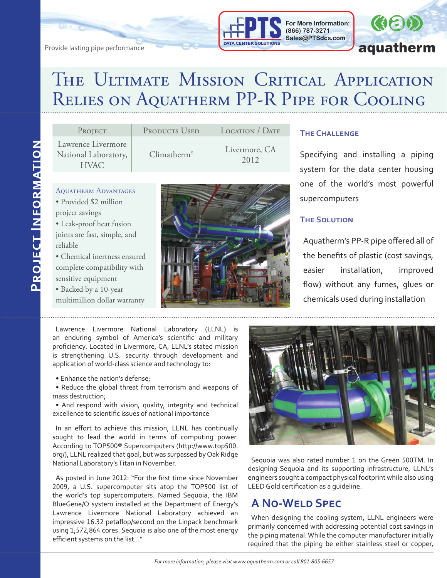



# THE ULTIMATE MISSION CRITICAL APPLICATION Relies on Aquatherm PP-R Pipe for Cooling

| Lawrence Livermore<br>Livermore, CA | PROJECT              | PRODUCTS USED | LOCATION / DATE | <b>THE CHALLENGE</b>                        |
|-------------------------------------|----------------------|---------------|-----------------|---------------------------------------------|
| 2012<br><b>HVAC</b>                 | National Laboratory, | Climatherm®   |                 | Specifying and inst.<br>system for the data |

- Aquatherm Advantages
- Provided \$2 million project savings
- Leak-proof heat fusion joints are fast, simple, and reliable
- Chemical inertness ensured complete compatibility with sensitive equipment
- Backed by a 10-year
- multimillion dollar warranty



alling a piping center housing one of the world's most powerful supercomputers

#### **The Solution**

Aquatherm's PP-R pipe offered all of the benefits of plastic (cost savings, easier installation, improved flow) without any fumes, glues or chemicals used during installation

Lawrence Livermore National Laboratory (LLNL) is an enduring symbol of America's scientific and military proficiency. Located in Livermore, CA, LLNL's stated mission is strengthening U.S. security through development and application of world-class science and technology to:

- Enhance the nation's defense;
- Reduce the global threat from terrorism and weapons of mass destruction;

• And respond with vision, quality, integrity and technical excellence to scientific issues of national importance

In an effort to achieve this mission, LLNL has continually sought to lead the world in terms of computing power. According to TOP500® Supercomputers (http://www.top500. org/), LLNL realized that goal, but was surpassed by Oak Ridge National Laboratory's Titan in November.

As posted in June 2012: "For the first time since November 2009, a U.S. supercomputer sits atop the TOP500 list of the world's top supercomputers. Named Sequoia, the IBM BlueGene/Q system installed at the Department of Energy's Lawrence Livermore National Laboratory achieved an impressive 16.32 petaflop/second on the Linpack benchmark using 1,572,864 cores. Sequoia is also one of the most energy efficient systems on the list…"



Sequoia was also rated number 1 on the Green 500TM. In designing Sequoia and its supporting infrastructure, LLNL's engineers sought a compact physical footprint while also using LEED Gold certification as a guideline.

### **A No-Weld Spec**

When designing the cooling system, LLNL engineers were primarily concerned with addressing potential cost savings in the piping material. While the computer manufacturer initially required that the piping be either stainless steel or copper,